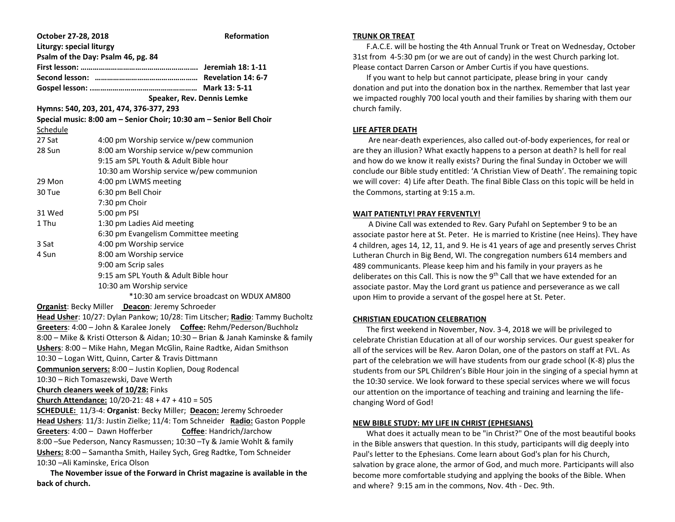| October 27-28, 2018                                                                                                         |                                                                     | <b>Reformation</b> |  |
|-----------------------------------------------------------------------------------------------------------------------------|---------------------------------------------------------------------|--------------------|--|
| <b>Liturgy: special liturgy</b>                                                                                             |                                                                     |                    |  |
| Psalm of the Day: Psalm 46, pg. 84                                                                                          |                                                                     |                    |  |
|                                                                                                                             |                                                                     |                    |  |
|                                                                                                                             |                                                                     |                    |  |
|                                                                                                                             |                                                                     |                    |  |
| Speaker, Rev. Dennis Lemke                                                                                                  |                                                                     |                    |  |
| Hymns: 540, 203, 201, 474, 376-377, 293                                                                                     |                                                                     |                    |  |
|                                                                                                                             | Special music: 8:00 am - Senior Choir; 10:30 am - Senior Bell Choir |                    |  |
| Schedule                                                                                                                    |                                                                     |                    |  |
| 27 Sat                                                                                                                      | 4:00 pm Worship service w/pew communion                             |                    |  |
| 28 Sun                                                                                                                      | 8:00 am Worship service w/pew communion                             |                    |  |
|                                                                                                                             | 9:15 am SPL Youth & Adult Bible hour                                |                    |  |
|                                                                                                                             | 10:30 am Worship service w/pew communion                            |                    |  |
| 29 Mon                                                                                                                      | 4:00 pm LWMS meeting                                                |                    |  |
| 30 Tue                                                                                                                      | 6:30 pm Bell Choir                                                  |                    |  |
|                                                                                                                             | 7:30 pm Choir                                                       |                    |  |
| 31 Wed                                                                                                                      | 5:00 pm PSI                                                         |                    |  |
| 1 Thu                                                                                                                       | 1:30 pm Ladies Aid meeting                                          |                    |  |
|                                                                                                                             | 6:30 pm Evangelism Committee meeting                                |                    |  |
| 3 Sat                                                                                                                       | 4:00 pm Worship service                                             |                    |  |
| 4 Sun                                                                                                                       | 8:00 am Worship service                                             |                    |  |
|                                                                                                                             | 9:00 am Scrip sales                                                 |                    |  |
| 9:15 am SPL Youth & Adult Bible hour                                                                                        |                                                                     |                    |  |
| 10:30 am Worship service                                                                                                    |                                                                     |                    |  |
| *10:30 am service broadcast on WDUX AM800                                                                                   |                                                                     |                    |  |
| <b>Organist: Becky Miller Deacon: Jeremy Schroeder</b>                                                                      |                                                                     |                    |  |
| Head Usher: 10/27: Dylan Pankow; 10/28: Tim Litscher; Radio: Tammy Bucholtz                                                 |                                                                     |                    |  |
| Greeters: 4:00 - John & Karalee Jonely Coffee: Rehm/Pederson/Buchholz                                                       |                                                                     |                    |  |
| 8:00 - Mike & Kristi Otterson & Aidan; 10:30 - Brian & Janah Kaminske & family                                              |                                                                     |                    |  |
| Ushers: 8:00 - Mike Hahn, Megan McGlin, Raine Radtke, Aidan Smithson<br>10:30 - Logan Witt, Quinn, Carter & Travis Dittmann |                                                                     |                    |  |
|                                                                                                                             |                                                                     |                    |  |
| Communion servers: 8:00 - Justin Koplien, Doug Rodencal<br>10:30 - Rich Tomaszewski, Dave Werth                             |                                                                     |                    |  |
| <b>Church cleaners week of 10/28: Finks</b>                                                                                 |                                                                     |                    |  |
| Church Attendance: $10/20-21:48 + 47 + 410 = 505$                                                                           |                                                                     |                    |  |
| SCHEDULE: 11/3-4: Organist: Becky Miller; Deacon: Jeremy Schroeder                                                          |                                                                     |                    |  |
| Head Ushers: 11/3: Justin Zielke; 11/4: Tom Schneider Radio: Gaston Popple                                                  |                                                                     |                    |  |
| Greeters: 4:00 - Dawn Hofferber<br>Coffee: Handrich/Jarchow                                                                 |                                                                     |                    |  |
| 8:00 - Sue Pederson, Nancy Rasmussen; 10:30 - Ty & Jamie Wohlt & family                                                     |                                                                     |                    |  |
| Ushers: 8:00 - Samantha Smith, Hailey Sych, Greg Radtke, Tom Schneider                                                      |                                                                     |                    |  |
| 10:30 - Ali Kaminske, Erica Olson                                                                                           |                                                                     |                    |  |
| The November issue of the Ferward in Christ magazine is available in the                                                    |                                                                     |                    |  |

 **The November issue of the Forward in Christ magazine is available in the back of church.**

# **TRUNK OR TREAT**

 F.A.C.E. will be hosting the 4th Annual Trunk or Treat on Wednesday, October 31st from 4-5:30 pm (or we are out of candy) in the west Church parking lot. Please contact Darren Carson or Amber Curtis if you have questions.

 If you want to help but cannot participate, please bring in your candy donation and put into the donation box in the narthex. Remember that last year we impacted roughly 700 local youth and their families by sharing with them our church family.

# **LIFE AFTER DEATH**

 Are near-death experiences, also called out-of-body experiences, for real or are they an illusion? What exactly happens to a person at death? Is hell for real and how do we know it really exists? During the final Sunday in October we will conclude our Bible study entitled: 'A Christian View of Death'. The remaining topic we will cover: 4) Life after Death. The final Bible Class on this topic will be held in the Commons, starting at 9:15 a.m.

### **WAIT PATIENTLY! PRAY FERVENTLY!**

 A Divine Call was extended to Rev. Gary Pufahl on September 9 to be an associate pastor here at St. Peter. He is married to Kristine (nee Heins). They have 4 children, ages 14, 12, 11, and 9. He is 41 years of age and presently serves Christ Lutheran Church in Big Bend, WI. The congregation numbers 614 members and 489 communicants. Please keep him and his family in your prayers as he deliberates on this Call. This is now the  $9<sup>th</sup>$  Call that we have extended for an associate pastor. May the Lord grant us patience and perseverance as we call upon Him to provide a servant of the gospel here at St. Peter.

## **CHRISTIAN EDUCATION CELEBRATION**

 The first weekend in November, Nov. 3-4, 2018 we will be privileged to celebrate Christian Education at all of our worship services. Our guest speaker for all of the services will be Rev. Aaron Dolan, one of the pastors on staff at FVL. As part of the celebration we will have students from our grade school (K-8) plus the students from our SPL Children's Bible Hour join in the singing of a special hymn at the 10:30 service. We look forward to these special services where we will focus our attention on the importance of teaching and training and learning the lifechanging Word of God!

### **NEW BIBLE STUDY: MY LIFE IN CHRIST (EPHESIANS)**

 What does it actually mean to be "in Christ?" One of the most beautiful books in the Bible answers that question. In this study, participants will dig deeply into Paul's letter to the Ephesians. Come learn about God's plan for his Church, salvation by grace alone, the armor of God, and much more. Participants will also become more comfortable studying and applying the books of the Bible. When and where? 9:15 am in the commons, Nov. 4th - Dec. 9th.